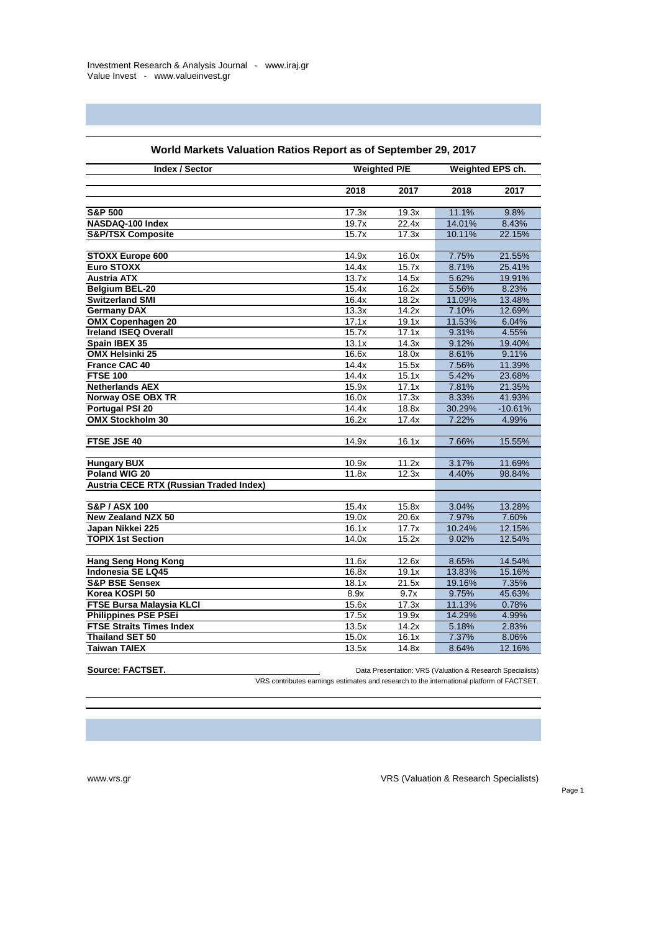| <b>Index / Sector</b>                        | <b>Weighted P/E</b> |                    | Weighted EPS ch. |                  |
|----------------------------------------------|---------------------|--------------------|------------------|------------------|
|                                              | 2018                | 2017               | 2018             | 2017             |
|                                              |                     |                    |                  |                  |
| <b>S&amp;P 500</b>                           | 17.3x               | $\overline{19.3x}$ | 11.1%            | 9.8%             |
| NASDAQ-100 Index                             | 19.7x               | 22.4x              | 14.01%           | 8.43%            |
| <b>S&amp;P/TSX Composite</b>                 | 15.7x               | 17.3x              | 10.11%           | 22.15%           |
|                                              |                     |                    |                  |                  |
| <b>STOXX Europe 600</b>                      | 14.9x               | 16.0x              | 7.75%            | 21.55%           |
| <b>Euro STOXX</b>                            | 14.4x               | 15.7x              | 8.71%            | 25.41%           |
| <b>Austria ATX</b>                           | 13.7x               | 14.5x              | 5.62%            | 19.91%           |
| <b>Belgium BEL-20</b>                        | 15.4x               | 16.2x              | 5.56%            | 8.23%            |
| <b>Switzerland SMI</b>                       | 16.4x               | 18.2x              | 11.09%           | 13.48%           |
| <b>Germany DAX</b>                           | 13.3x               | 14.2x              | 7.10%            | 12.69%           |
| <b>OMX Copenhagen 20</b>                     | 17.1x               | 19.1x              | 11.53%           | 6.04%            |
| <b>Ireland ISEQ Overall</b>                  | 15.7x               | 17.1x              | 9.31%            | 4.55%            |
| Spain IBEX 35                                | 13.1x               | 14.3x              | 9.12%            | 19.40%           |
| <b>OMX Helsinki 25</b>                       | 16.6x               | 18.0x              | 8.61%            | 9.11%            |
| <b>France CAC 40</b>                         | 14.4x               | 15.5x              | 7.56%            | 11.39%           |
| <b>FTSE 100</b>                              | 14.4x               | 15.1x              | 5.42%            | 23.68%           |
| <b>Netherlands AEX</b>                       | 15.9x               | 17.1x              | 7.81%            | 21.35%           |
| <b>Norway OSE OBX TR</b>                     | 16.0x               | 17.3x              | 8.33%            | 41.93%           |
| <b>Portugal PSI 20</b>                       | 14.4x               | 18.8x              | 30.29%           | $-10.61%$        |
| <b>OMX Stockholm 30</b>                      | 16.2x               | 17.4x              | 7.22%            | 4.99%            |
|                                              |                     |                    |                  |                  |
| FTSE JSE 40                                  | 14.9x               | 16.1x              | 7.66%            | 15.55%           |
|                                              |                     |                    |                  |                  |
| <b>Hungary BUX</b>                           | 10.9x               | 11.2x              | 3.17%            | 11.69%           |
| Poland WIG 20                                | 11.8x               | 12.3x              | 4.40%            | 98.84%           |
| Austria CECE RTX (Russian Traded Index)      |                     |                    |                  |                  |
|                                              |                     |                    |                  |                  |
| <b>S&amp;P/ASX 100</b>                       | 15.4x               | 15.8x              | 3.04%            | 13.28%           |
| <b>New Zealand NZX 50</b>                    | $\overline{19.0x}$  | 20.6x              | 7.97%            | 7.60%            |
| Japan Nikkei 225<br><b>TOPIX 1st Section</b> | 16.1x               | 17.7x<br>15.2x     | 10.24%<br>9.02%  | 12.15%<br>12.54% |
|                                              | 14.0x               |                    |                  |                  |
| <b>Hang Seng Hong Kong</b>                   | 11.6x               | 12.6x              | 8.65%            | 14.54%           |
| <b>Indonesia SE LQ45</b>                     | 16.8x               | 19.1x              | 13.83%           | 15.16%           |
| <b>S&amp;P BSE Sensex</b>                    | 18.1x               | 21.5x              | 19.16%           | 7.35%            |
| Korea KOSPI 50                               | 8.9x                | 9.7x               | 9.75%            | 45.63%           |
| FTSE Bursa Malaysia KLCI                     | 15.6x               | 17.3x              | 11.13%           | 0.78%            |
| <b>Philippines PSE PSEi</b>                  | 17.5x               | 19.9x              | 14.29%           | 4.99%            |
| <b>FTSE Straits Times Index</b>              | 13.5x               | 14.2x              | 5.18%            | 2.83%            |
| <b>Thailand SET 50</b>                       | 15.0x               | 16.1x              | 7.37%            | 8.06%            |
| <b>Taiwan TAIEX</b>                          | 13.5x               | 14.8x              | 8.64%            | 12.16%           |
|                                              |                     |                    |                  |                  |

## **World Markets Valuation Ratios Report as of September 29, 2017**

**Source: FACTSET. Data Presentation: VRS (Valuation & Research Specialists)** Data Presentation: VRS (Valuation & Research Specialists)

VRS contributes earnings estimates and research to the international platform of FACTSET.

Page 1